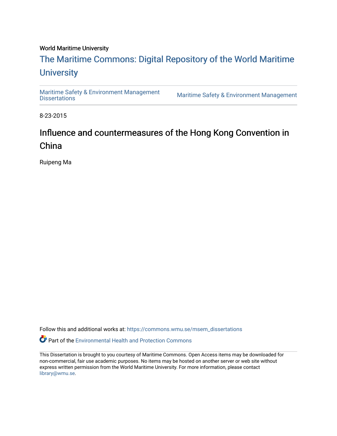#### World Maritime University

# [The Maritime Commons: Digital Repository of the World Maritime](https://commons.wmu.se/)  **University**

[Maritime Safety & Environment Management](https://commons.wmu.se/msem_dissertations)

Maritime Safety & Environment Management

8-23-2015

# Influence and countermeasures of the Hong Kong Convention in China

Ruipeng Ma

Follow this and additional works at: [https://commons.wmu.se/msem\\_dissertations](https://commons.wmu.se/msem_dissertations?utm_source=commons.wmu.se%2Fmsem_dissertations%2F93&utm_medium=PDF&utm_campaign=PDFCoverPages)

Part of the [Environmental Health and Protection Commons](http://network.bepress.com/hgg/discipline/172?utm_source=commons.wmu.se%2Fmsem_dissertations%2F93&utm_medium=PDF&utm_campaign=PDFCoverPages) 

This Dissertation is brought to you courtesy of Maritime Commons. Open Access items may be downloaded for non-commercial, fair use academic purposes. No items may be hosted on another server or web site without express written permission from the World Maritime University. For more information, please contact [library@wmu.se](mailto:library@wmu.edu).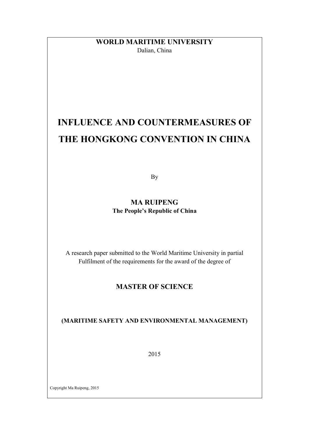### **WORLD MARITIME UNIVERSITY** Dalian, China

# **INFLUENCE AND COUNTERMEASURES OF THE HONGKONG CONVENTION IN CHINA**

By

**MA RUIPENG The People's Republic of China**

A research paper submitted to the World Maritime University in partial Fulfilment of the requirements for the award of the degree of

### **MASTER OF SCIENCE**

**(MARITIME SAFETY AND ENVIRONMENTAL MANAGEMENT)**

2015

Copyright Ma Ruipeng, 2015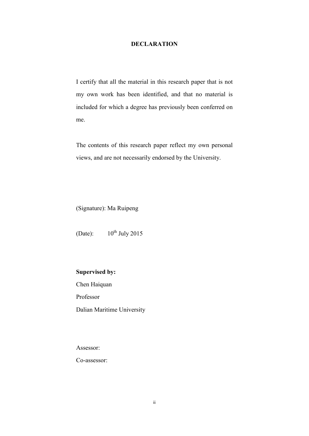#### **DECLARATION**

I certify that all the material in this research paper that is not my own work has been identified, and that no material is included for which a degree has previously been conferred on me.

The contents of this research paper reflect my own personal views, and are not necessarily endorsed by the University.

(Signature): Ma Ruipeng

(Date):  $10^{th}$  July 2015

#### **Supervised by:**

Chen Haiquan

Professor

Dalian Maritime University

Assessor:

Co-assessor: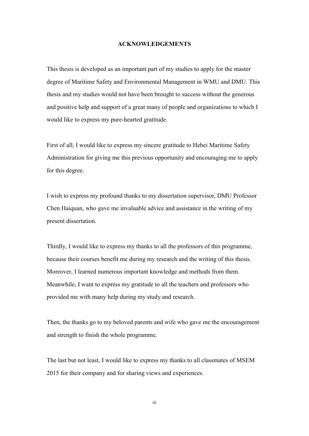#### **ACKNOWLEDGEMENTS**

This thesis is developed as an important part of my studies to apply for the master degree of Maritime Safety and Environmental Management in WMU and DMU. This thesis and my studies would not have been brought to success without the generous and positive help and support of a great many of people and organizations to which I would like to express my pure-hearted gratitude.

First of all, I would like to express my sincere gratitude to Hebei Maritime Safety Administration for giving me this previous opportunity and encouraging me to apply for this degree.

I wish to express my profound thanks to my dissertation supervisor, DMU Professor Chen Haiquan, who gave me invaluable advice and assistance in the writing of my present dissertation.

Thirdly, I would like to express my thanks to all the professors of this programme, because their courses benefit me during my research and the writing of this thesis. Moreover, I learned numerous important knowledge and methods from them. Meanwhile, I want to express my gratitude to all the teachers and professors who provided me with many help during my study and research.

Then, the thanks go to my beloved parents and wife who gave me the encouragement and strength to finish the whole programme.

The last but not least, I would like to express my thanks to all classmates of MSEM 2015 for their company and for sharing views and experiences.

iii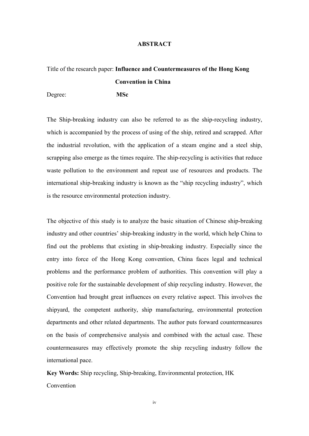#### **ABSTRACT**

# Title of the research paper: **Influence and Countermeasures of the Hong Kong Convention in China**

Degree: **MSc**

The Ship-breaking industry can also be referred to as the ship-recycling industry, which is accompanied by the process of using of the ship, retired and scrapped. After the industrial revolution, with the application of a steam engine and a steel ship, scrapping also emerge as the times require. The ship-recycling is activities that reduce waste pollution to the environment and repeat use of resources and products. The international ship-breaking industry is known as the "ship recycling industry", which is the resource environmental protection industry.

The objective of this study is to analyze the basic situation of Chinese ship-breaking industry and other countries' ship-breaking industry in the world, which help China to find out the problems that existing in ship-breaking industry. Especially since the entry into force of the Hong Kong convention, China faces legal and technical problems and the performance problem of authorities. This convention will play a positive role for the sustainable development of ship recycling industry. However, the Convention had brought great influences on every relative aspect. This involves the shipyard, the competent authority, ship manufacturing, environmental protection departments and other related departments. The author puts forward countermeasures on the basis of comprehensive analysis and combined with the actual case. These countermeasures may effectively promote the ship recycling industry follow the international pace.

**Key Words:** Ship recycling, Ship-breaking, Environmental protection, HK Convention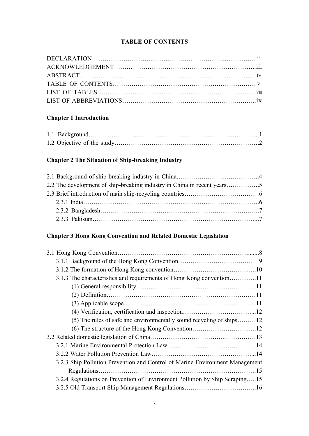#### **TABLE OF CONTENTS**

### **Chapter 1 Introduction**

### **Chapter 2 The Situation of Ship-breaking Industry**

### **Chapter 3 Hong Kong Convention and Related Domestic Legislation**

| 3.1.3 The characteristics and requirements of Hong Kong convention11         |  |
|------------------------------------------------------------------------------|--|
|                                                                              |  |
|                                                                              |  |
|                                                                              |  |
|                                                                              |  |
| $(5)$ The rules of safe and environmentally sound recycling of ships12       |  |
|                                                                              |  |
|                                                                              |  |
|                                                                              |  |
|                                                                              |  |
| 3.2.3 Ship Pollution Prevention and Control of Marine Environment Management |  |
|                                                                              |  |
| 3.2.4 Regulations on Prevention of Environment Pollution by Ship Scraping15  |  |
|                                                                              |  |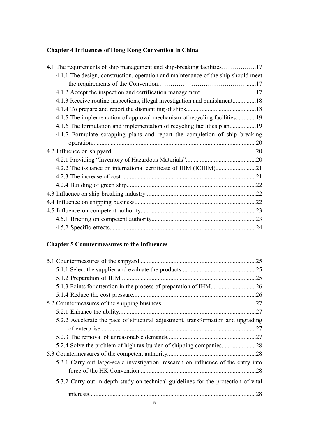# **Chapter 4 Influences of Hong Kong Convention in China**

| 4.1 The requirements of ship management and ship-breaking facilities17            |  |
|-----------------------------------------------------------------------------------|--|
| 4.1.1 The design, construction, operation and maintenance of the ship should meet |  |
|                                                                                   |  |
|                                                                                   |  |
| 4.1.3 Receive routine inspections, illegal investigation and punishment18         |  |
|                                                                                   |  |
| 4.1.5 The implementation of approval mechanism of recycling facilities19          |  |
|                                                                                   |  |
| 4.1.7 Formulate scrapping plans and report the completion of ship breaking        |  |
|                                                                                   |  |
|                                                                                   |  |
|                                                                                   |  |
|                                                                                   |  |
|                                                                                   |  |
|                                                                                   |  |
|                                                                                   |  |
|                                                                                   |  |
|                                                                                   |  |
|                                                                                   |  |
|                                                                                   |  |

### **Chapter 5 Countermeasures to the Influences**

|                                                                                    | .25 |
|------------------------------------------------------------------------------------|-----|
|                                                                                    |     |
|                                                                                    |     |
|                                                                                    |     |
|                                                                                    |     |
|                                                                                    |     |
|                                                                                    |     |
| 5.2.2 Accelerate the pace of structural adjustment, transformation and upgrading   |     |
|                                                                                    |     |
|                                                                                    |     |
|                                                                                    |     |
|                                                                                    |     |
| 5.3.1 Carry out large-scale investigation, research on influence of the entry into |     |
|                                                                                    | .28 |
| 5.3.2 Carry out in-depth study on technical guidelines for the protection of vital |     |
|                                                                                    | .28 |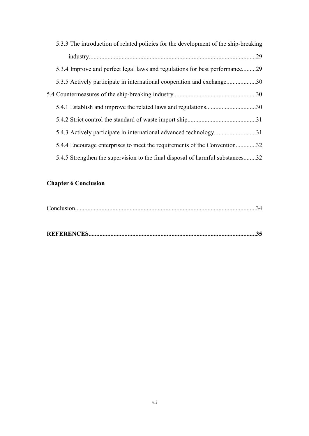| 5.3.3 The introduction of related policies for the development of the ship-breaking |     |
|-------------------------------------------------------------------------------------|-----|
|                                                                                     | .29 |
| 5.3.4 Improve and perfect legal laws and regulations for best performance29         |     |
| 5.3.5 Actively participate in international cooperation and exchange30              |     |
|                                                                                     |     |
|                                                                                     |     |
|                                                                                     |     |
| 5.4.3 Actively participate in international advanced technology31                   |     |
| 5.4.4 Encourage enterprises to meet the requirements of the Convention32            |     |
| 5.4.5 Strengthen the supervision to the final disposal of harmful substances32      |     |

### **Chapter 6 Conclusion**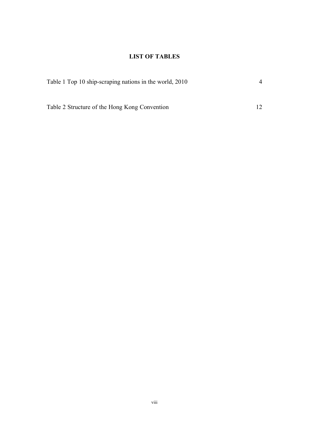### **LIST OF TABLES**

| Table 1 Top 10 ship-scraping nations in the world, 2010 |  |  |
|---------------------------------------------------------|--|--|
|                                                         |  |  |
| Table 2 Structure of the Hong Kong Convention           |  |  |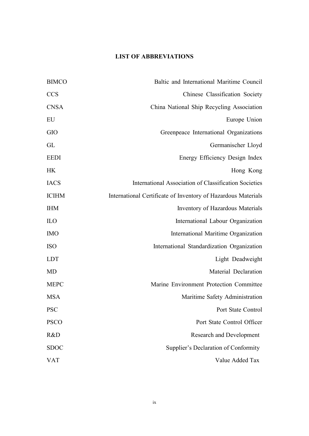### **LIST OF ABBREVIATIONS**

| <b>BIMCO</b> | Baltic and International Maritime Council                     |
|--------------|---------------------------------------------------------------|
| <b>CCS</b>   | Chinese Classification Society                                |
| <b>CNSA</b>  | China National Ship Recycling Association                     |
| EU           | Europe Union                                                  |
| <b>GIO</b>   | Greenpeace International Organizations                        |
| GL           | Germanischer Lloyd                                            |
| <b>EEDI</b>  | Energy Efficiency Design Index                                |
| <b>HK</b>    | Hong Kong                                                     |
| <b>IACS</b>  | International Association of Classification Societies         |
| <b>ICIHM</b> | International Certificate of Inventory of Hazardous Materials |
| <b>IHM</b>   | Inventory of Hazardous Materials                              |
| ILO          | International Labour Organization                             |
| <b>IMO</b>   | International Maritime Organization                           |
| <b>ISO</b>   | International Standardization Organization                    |
| <b>LDT</b>   | Light Deadweight                                              |
| <b>MD</b>    | Material Declaration                                          |
| <b>MEPC</b>  | Marine Environment Protection Committee                       |
| <b>MSA</b>   | Maritime Safety Administration                                |
| <b>PSC</b>   | Port State Control                                            |
| <b>PSCO</b>  | Port State Control Officer                                    |
| R&D          | <b>Research and Development</b>                               |
| <b>SDOC</b>  | Supplier's Declaration of Conformity                          |
| VAT          | Value Added Tax                                               |
|              |                                                               |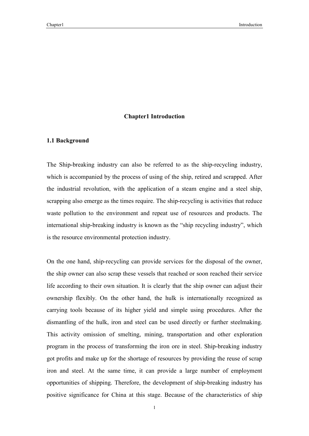#### **Chapter1 Introduction**

#### **1.1 Background**

The Ship-breaking industry can also be referred to as the ship-recycling industry, which is accompanied by the process of using of the ship, retired and scrapped. After the industrial revolution, with the application of a steam engine and a steel ship, scrapping also emerge as the times require. The ship-recycling is activities that reduce waste pollution to the environment and repeat use of resources and products. The international ship-breaking industry is known as the "ship recycling industry", which is the resource environmental protection industry.

On the one hand, ship-recycling can provide services for the disposal of the owner, the ship owner can also scrap these vessels that reached or soon reached their service life according to their own situation. It is clearly that the ship owner can adjust their ownership flexibly. On the other hand, the hulk is internationally recognized as carrying tools because of its higher yield and simple using procedures. After the dismantling of the hulk, iron and steel can be used directly or further steelmaking. This activity omission of smelting, mining, transportation and other exploration program in the process of transforming the iron ore in steel. Ship-breaking industry got profits and make up for the shortage of resources by providing the reuse of scrap iron and steel. At the same time, it can provide a large number of employment opportunities of shipping. Therefore, the development of ship-breaking industry has positive significance for China at this stage. Because of the characteristics of ship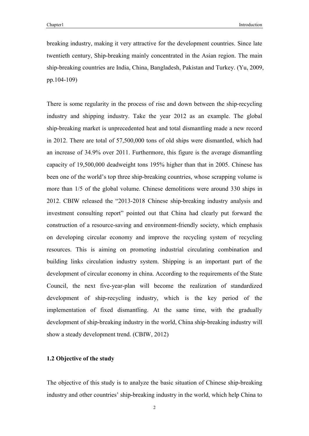breaking industry, making it very attractive for the development countries. Since late twentieth century, Ship-breaking mainly concentrated in the Asian region. The main ship-breaking countries are India, China, Bangladesh, Pakistan and Turkey. (Yu, 2009, pp.104-109)

There is some regularity in the process of rise and down between the ship-recycling industry and shipping industry. Take the year 2012 as an example. The global ship-breaking market is unprecedented heat and total dismantling made a new record in 2012. There are total of 57,500,000 tons of old ships were dismantled, which had an increase of 34.9% over 2011. Furthermore, this figure is the average dismantling capacity of 19,500,000 deadweight tons 195% higher than that in 2005. Chinese has been one of the world's top three ship-breaking countries, whose scrapping volume is more than 1/5 of the global volume. Chinese demolitions were around 330 ships in 2012. CBIW released the "2013-2018 Chinese ship-breaking industry analysis and investment consulting report" pointed out that China had clearly put forward the construction of a resource-saving and environment-friendly society, which emphasis on developing circular economy and improve the recycling system of recycling resources. This is aiming on promoting industrial circulating combination and building links circulation industry system. Shipping is an important part of the development of circular economy in china. According to the requirements of the State Council, the next five-year-plan will become the realization of standardized development of ship-recycling industry, which is the key period of the implementation of fixed dismantling. At the same time, with the gradually development of ship-breaking industry in the world, China ship-breaking industry will show a steady development trend. (CBIW, 2012)

#### **1.2 Objective of the study**

The objective of this study is to analyze the basic situation of Chinese ship-breaking industry and other countries' ship-breaking industry in the world, which help China to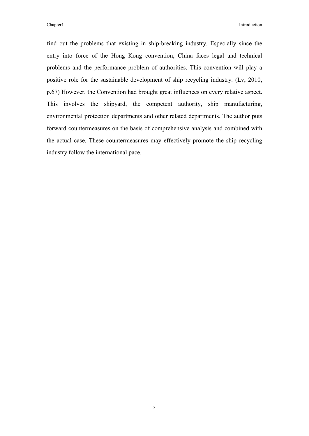find out the problems that existing in ship-breaking industry. Especially since the entry into force of the Hong Kong convention, China faces legal and technical problems and the performance problem of authorities. This convention will play a positive role for the sustainable development of ship recycling industry. (Lv, 2010, p.67) However, the Convention had brought great influences on every relative aspect. This involves the shipyard, the competent authority, ship manufacturing, environmental protection departments and other related departments. The author puts forward countermeasures on the basis of comprehensive analysis and combined with the actual case. These countermeasures may effectively promote the ship recycling industry follow the international pace.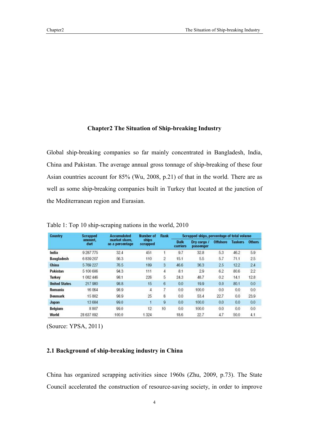#### **Chapter2 The Situation of Ship-breaking Industry**

Global ship-breaking companies so far mainly concentrated in Bangladesh, India, China and Pakistan. The average annual gross tonnage of ship-breaking of these four Asian countries account for 85% (Wu, 2008, p.21) of that in the world. There are as well as some ship-breaking companies built in Turkey that located at the junction of the Mediterranean region and Eurasian.

| <b>Country</b>       | <b>Scrapped</b><br>amount.<br>dwt | <b>Accumulated</b><br>market share.<br>as a percentage | Number of<br>ships<br>scrapped | Rank | Scrapped ships, percentage of total volume |                          |                 |                |               |
|----------------------|-----------------------------------|--------------------------------------------------------|--------------------------------|------|--------------------------------------------|--------------------------|-----------------|----------------|---------------|
|                      |                                   |                                                        |                                |      | <b>Bulk</b><br>carriers                    | Dry cargo /<br>passenger | <b>Offshore</b> | <b>Tankers</b> | <b>Others</b> |
| India                | 9 287 775                         | 32.4                                                   | 451                            |      | 9.7                                        | 32.8                     | 5.3             | 46.2           | 5.9           |
| <b>Bangladesh</b>    | 6839207                           | 56.3                                                   | 110                            | 2    | 15.1                                       | 5.5                      | 5.7             | 71.1           | 2.5           |
| China                | 5769227                           | 76.5                                                   | 189                            | 3    | 46.6                                       | 36.3                     | 2.5             | 12.2           | 2.4           |
| Pakistan             | 5 100 606                         | 94.3                                                   | 111                            | 4    | 8.1                                        | 2.9                      | 6.2             | 80.6           | 2.2           |
| Turkey               | 1 082 446                         | 98.1                                                   | 226                            | 5    | 24.3                                       | 48.7                     | 0.2             | 14.1           | 12.8          |
| <b>United States</b> | 217 980                           | 98.8                                                   | 15                             | 6    | 0.0                                        | 19.9                     | 0.0             | 80.1           | 0.0           |
| Romania              | 16 064                            | 98.9                                                   | $\overline{4}$                 | 7    | 0.0                                        | 100.0                    | 0.0             | 0.0            | 0.0           |
| Denmark              | 15802                             | 98.9                                                   | 25                             | 8    | 0.0                                        | 53.4                     | 22.7            | 0.0            | 23.9          |
| Japan                | 13 6 8 4                          | 99.0                                                   |                                | 9    | 0.0                                        | 100.0                    | 0.0             | 0.0            | 0.0           |
| Belgium              | 8807                              | 99.0                                                   | 12                             | 10   | 0.0                                        | 100.0                    | 0.0             | 0.0            | 0.0           |
| World                | 28 637 092                        | 100.0                                                  | 1 3 2 4                        |      | 18.6                                       | 22.7                     | 4.7             | 50.0           | 4.1           |

Table 1: Top 10 ship-scraping nations in the world, 2010

(Source: YPSA, 2011)

#### **2.1 Background of ship-breaking industry in China**

China has organized scrapping activities since 1960s (Zhu, 2009, p.73). The State Council accelerated the construction of resource-saving society, in order to improve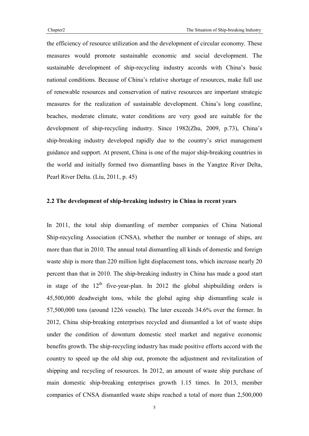the efficiency of resource utilization and the development of circular economy. These measures would promote sustainable economic and social development. The sustainable development of ship-recycling industry accords with China's basic national conditions. Because of China's relative shortage of resources, make full use of renewable resources and conservation of native resources are important strategic measures for the realization of sustainable development. China's long coastline, beaches, moderate climate, water conditions are very good are suitable for the development of ship-recycling industry. Since 1982(Zhu, 2009, p.73), China's ship-breaking industry developed rapidly due to the country's strict management guidance and support. At present, China is one of the major ship-breaking countries in the world and initially formed two dismantling bases in the Yangtze River Delta, Pearl River Delta. (Liu, 2011, p. 45)

#### **2.2 The development of ship-breaking industry in China in recent years**

In 2011, the total ship dismantling of member companies of China National Ship-recycling Association (CNSA), whether the number or tonnage of ships, are more than that in 2010. The annual total dismantling all kinds of domestic and foreign waste ship is more than 220 million light displacement tons, which increase nearly 20 percent than that in 2010. The ship-breaking industry in China has made a good start in stage of the  $12<sup>th</sup>$  five-year-plan. In 2012 the global shipbuilding orders is 45,500,000 deadweight tons, while the global aging ship dismantling scale is 57,500,000 tons (around 1226 vessels). The later exceeds 34.6% over the former. In 2012, China ship-breaking enterprises recycled and dismantled a lot of waste ships under the condition of downturn domestic steel market and negative economic benefits growth. The ship-recycling industry has made positive efforts accord with the country to speed up the old ship out, promote the adjustment and revitalization of shipping and recycling of resources. In 2012, an amount of waste ship purchase of main domestic ship-breaking enterprises growth 1.15 times. In 2013, member companies of CNSA dismantled waste ships reached a total of more than 2,500,000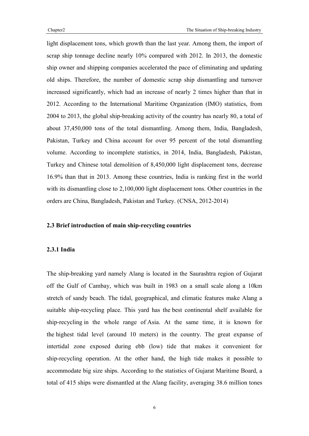light displacement tons, which growth than the last year. Among them, the import of scrap ship tonnage decline nearly 10% compared with 2012. In 2013, the domestic ship owner and shipping companies accelerated the pace of eliminating and updating old ships. Therefore, the number of domestic scrap ship dismantling and turnover increased significantly, which had an increase of nearly 2 times higher than that in 2012. According to the International Maritime Organization (IMO) statistics, from 2004 to 2013, the global ship-breaking activity of the country has nearly 80, a total of about 37,450,000 tons of the total dismantling. Among them, India, Bangladesh, Pakistan, Turkey and China account for over 95 percent of the total dismantling volume. According to incomplete statistics, in 2014, India, Bangladesh, Pakistan, Turkey and Chinese total demolition of 8,450,000 light displacement tons, decrease 16.9% than that in 2013. Among these countries, India is ranking first in the world with its dismantling close to 2,100,000 light displacement tons. Other countries in the orders are China, Bangladesh, Pakistan and Turkey. (CNSA, 2012-2014)

#### **2.3 Brief introduction of main ship-recycling countries**

#### **2.3.1 India**

The ship-breaking yard namely Alang is located in the Saurashtra region of Gujarat off the Gulf of Cambay, which was built in 1983 on a small scale along a 10km stretch of sandy beach. The tidal, geographical, and climatic features make Alang a suitable ship-recycling place. This yard has the best continental shelf available for ship-recycling in the whole range of Asia. At the same time, it is known for the highest tidal level (around 10 meters) in the country. The great expanse of intertidal zone exposed during ebb (low) tide that makes it convenient for ship-recycling operation. At the other hand, the high tide makes it possible to accommodate big size ships. According to the statistics of Gujarat Maritime Board, a total of 415 ships were dismantled at the Alang facility, averaging 38.6 million tones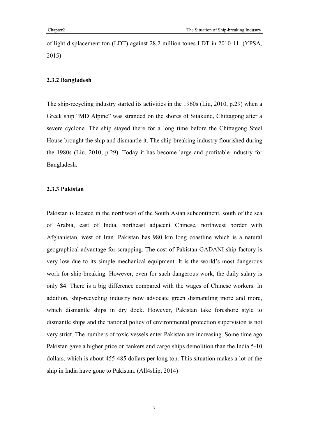of light displacement ton (LDT) against 28.2 million tones LDT in 2010-11. (YPSA, 2015)

#### **2.3.2 Bangladesh**

The ship-recycling industry started its activities in the 1960s (Liu, 2010, p.29) when a Greek ship "MD Alpine" was stranded on the shores of Sitakund, Chittagong after a severe cyclone. The ship stayed there for a long time before the Chittagong Steel House brought the ship and dismantle it. The ship-breaking industry flourished during the 1980s (Liu, 2010, p.29). Today it has become large and profitable industry for Bangladesh.

#### **2.3.3 Pakistan**

Pakistan is located in the northwest of the South Asian subcontinent, south of the sea of Arabia, east of India, northeast adjacent Chinese, northwest border with Afghanistan, west of Iran. Pakistan has 980 km long coastline which is a natural geographical advantage for scrapping. The cost of Pakistan GADANI ship factory is very low due to its simple mechanical equipment. It is the world's most dangerous work for ship-breaking. However, even for such dangerous work, the daily salary is only \$4. There is a big difference compared with the wages of Chinese workers. In addition, ship-recycling industry now advocate green dismantling more and more, which dismantle ships in dry dock. However, Pakistan take foreshore style to dismantle ships and the national policy of environmental protection supervision is not very strict. The numbers of toxic vessels enter Pakistan are increasing. Some time ago Pakistan gave a higher price on tankers and cargo ships demolition than the India 5-10 dollars, which is about 455-485 dollars per long ton. This situation makes a lot of the ship in India have gone to Pakistan. (All4ship, 2014)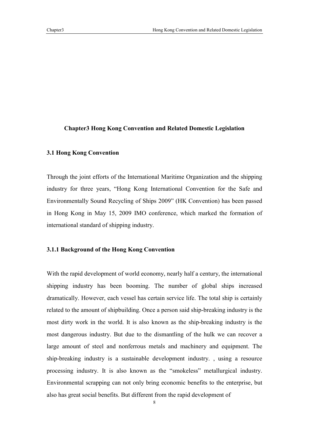#### **Chapter3 Hong Kong Convention and Related Domestic Legislation**

#### **3.1 Hong Kong Convention**

Through the joint efforts of the International Maritime Organization and the shipping industry for three years, "Hong Kong International Convention for the Safe and Environmentally Sound Recycling of Ships 2009" (HK Convention) has been passed in Hong Kong in May 15, 2009 IMO conference, which marked the formation of international standard of shipping industry.

#### **3.1.1 Background of the Hong Kong Convention**

With the rapid development of world economy, nearly half a century, the international shipping industry has been booming. The number of global ships increased dramatically. However, each vessel has certain service life. The total ship is certainly related to the amount of shipbuilding. Once a person said ship-breaking industry is the most dirty work in the world. It is also known as the ship-breaking industry is the most dangerous industry. But due to the dismantling of the hulk we can recover a large amount of steel and nonferrous metals and machinery and equipment. The ship-breaking industry is a sustainable development industry. , using a resource processing industry. It is also known as the "smokeless" metallurgical industry. Environmental scrapping can not only bring economic benefits to the enterprise, but also has great social benefits. But different from the rapid development of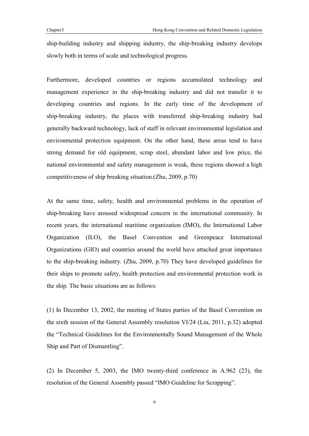ship-building industry and shipping industry, the ship-breaking industry develops slowly both in terms of scale and technological progress.

Furthermore, developed countries or regions accumulated technology and management experience in the ship-breaking industry and did not transfer it to developing countries and regions. In the early time of the development of ship-breaking industry, the places with transferred ship-breaking industry had generally backward technology, lack of staff in relevant environmental legislation and environmental protection equipment. On the other hand, these areas tend to have strong demand for old equipment, scrap steel, abundant labor and low price, the national environmental and safety management is weak, these regions showed a high competitiveness of ship breaking situation.(Zhu, 2009, p.70)

At the same time, safety, health and environmental problems in the operation of ship-breaking have aroused widespread concern in the international community. In recent years, the international maritime organization (IMO), the International Labor Organization (ILO), the Basel Convention and Greenpeace International Organizations (GIO) and countries around the world have attached great importance to the ship-breaking industry. (Zhu, 2009, p.70) They have developed guidelines for their ships to promote safety, health protection and environmental protection work in the ship. The basic situations are as follows:

(1) In December 13, 2002, the meeting of States parties of the Basel Convention on the sixth session of the General Assembly resolution VI/24 (Liu, 2011, p.32) adopted the "Technical Guidelines for the Environmentally Sound Management of the Whole Ship and Part of Dismantling".

(2) In December 5, 2003, the IMO twenty-third conference in A.962 (23), the resolution of the General Assembly passed "IMO Guideline for Scrapping".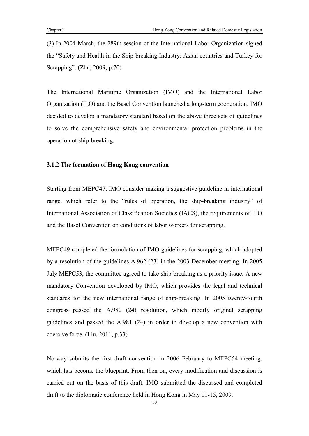(3) In 2004 March, the 289th session of the International Labor Organization signed the "Safety and Health in the Ship-breaking Industry: Asian countries and Turkey for Scrapping". (Zhu, 2009, p.70)

The International Maritime Organization (IMO) and the International Labor Organization (ILO) and the Basel Convention launched a long-term cooperation. IMO decided to develop a mandatory standard based on the above three sets of guidelines to solve the comprehensive safety and environmental protection problems in the operation of ship-breaking.

#### **3.1.2 The formation of Hong Kong convention**

Starting from MEPC47, IMO consider making a suggestive guideline in international range, which refer to the "rules of operation, the ship-breaking industry" of International Association of Classification Societies (IACS), the requirements of ILO and the Basel Convention on conditions of labor workers for scrapping.

MEPC49 completed the formulation of IMO guidelines for scrapping, which adopted by a resolution of the guidelines A.962 (23) in the 2003 December meeting. In 2005 July MEPC53, the committee agreed to take ship-breaking as a priority issue. A new mandatory Convention developed by IMO, which provides the legal and technical standards for the new international range of ship-breaking. In 2005 twenty-fourth congress passed the A.980 (24) resolution, which modify original scrapping guidelines and passed the A.981 (24) in order to develop a new convention with coercive force. (Liu, 2011, p.33)

Norway submits the first draft convention in 2006 February to MEPC54 meeting, which has become the blueprint. From then on, every modification and discussion is carried out on the basis of this draft. IMO submitted the discussed and completed draft to the diplomatic conference held in Hong Kong in May 11-15, 2009.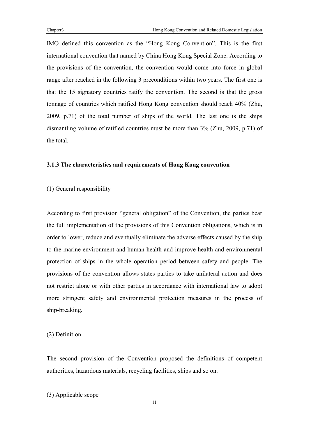IMO defined this convention as the "Hong Kong Convention". This is the first international convention that named by China Hong Kong Special Zone. According to the provisions of the convention, the convention would come into force in global range after reached in the following 3 preconditions within two years. The first one is that the 15 signatory countries ratify the convention. The second is that the gross tonnage of countries which ratified Hong Kong convention should reach 40% (Zhu, 2009, p.71) of the total number of ships of the world. The last one is the ships dismantling volume of ratified countries must be more than 3% (Zhu, 2009, p.71) of the total.

#### **3.1.3 The characteristics and requirements of Hong Kong convention**

(1) General responsibility

According to first provision "general obligation" of the Convention, the parties bear the full implementation of the provisions of this Convention obligations, which is in order to lower, reduce and eventually eliminate the adverse effects caused by the ship to the marine environment and human health and improve health and environmental protection of ships in the whole operation period between safety and people. The provisions of the convention allows states parties to take unilateral action and does not restrict alone or with other parties in accordance with international law to adopt more stringent safety and environmental protection measures in the process of ship-breaking.

(2) Definition

The second provision of the Convention proposed the definitions of competent authorities, hazardous materials, recycling facilities, ships and so on.

(3) Applicable scope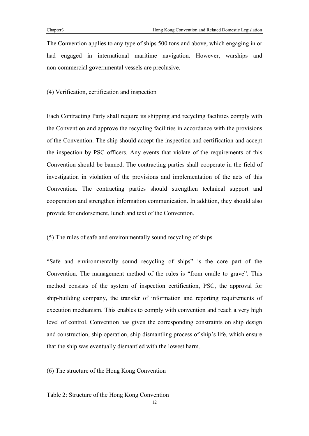The Convention applies to any type of ships 500 tons and above, which engaging in or had engaged in international maritime navigation. However, warships and non-commercial governmental vessels are preclusive.

(4) Verification, certification and inspection

Each Contracting Party shall require its shipping and recycling facilities comply with the Convention and approve the recycling facilities in accordance with the provisions of the Convention. The ship should accept the inspection and certification and accept the inspection by PSC officers. Any events that violate of the requirements of this Convention should be banned. The contracting parties shall cooperate in the field of investigation in violation of the provisions and implementation of the acts of this Convention. The contracting parties should strengthen technical support and cooperation and strengthen information communication. In addition, they should also provide for endorsement, lunch and text of the Convention.

#### (5) The rules of safe and environmentally sound recycling of ships

"Safe and environmentally sound recycling of ships" is the core part of the Convention. The management method of the rules is "from cradle to grave". This method consists of the system of inspection certification, PSC, the approval for ship-building company, the transfer of information and reporting requirements of execution mechanism. This enables to comply with convention and reach a very high level of control. Convention has given the corresponding constraints on ship design and construction, ship operation, ship dismantling process of ship's life, which ensure that the ship was eventually dismantled with the lowest harm.

(6) The structure of the Hong Kong Convention

Table 2: Structure of the Hong Kong Convention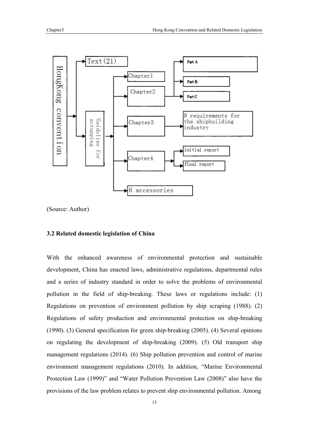

(Source: Author)

#### **3.2 Related domestic legislation of China**

With the enhanced awareness of environmental protection and sustainable development, China has enacted laws, administrative regulations, departmental rules and a series of industry standard in order to solve the problems of environmental pollution in the field of ship-breaking. These laws or regulations include: (1) Regulations on prevention of environment pollution by ship scraping (1988). (2) Regulations of safety production and environmental protection on ship-breaking (1990). (3) General specification for green ship-breaking (2005). (4) Several opinions on regulating the development of ship-breaking (2009). (5) Old transport ship management regulations (2014). (6) Ship pollution prevention and control of marine environment management regulations (2010). In addition, "Marine Environmental Protection Law (1999)" and "Water Pollution Prevention Law (2008)" also have the provisions of the law problem relates to prevent ship environmental pollution. Among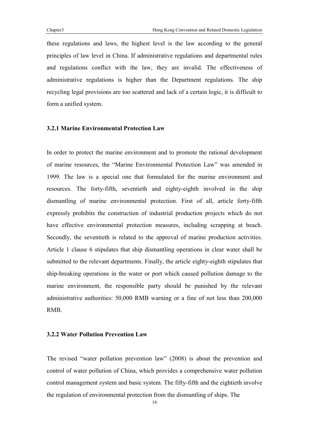these regulations and laws, the highest level is the law according to the general principles of law level in China. If administrative regulations and departmental rules and regulations conflict with the law, they are invalid. The effectiveness of administrative regulations is higher than the Department regulations. The ship recycling legal provisions are too scattered and lack of a certain logic, it is difficult to form a unified system.

#### **3.2.1 Marine Environmental Protection Law**

In order to protect the marine environment and to promote the rational development of marine resources, the "Marine Environmental Protection Law" was amended in 1999. The law is a special one that formulated for the marine environment and resources. The forty-fifth, seventieth and eighty-eighth involved in the ship dismantling of marine environmental protection. First of all, article forty-fifth expressly prohibits the construction of industrial production projects which do not have effective environmental protection measures, including scrapping at beach. Secondly, the seventieth is related to the approval of marine production activities. Article 1 clause 6 stipulates that ship dismantling operations in clear water shall be submitted to the relevant departments. Finally, the article eighty-eighth stipulates that ship-breaking operations in the water or port which caused pollution damage to the marine environment, the responsible party should be punished by the relevant administrative authorities: 50,000 RMB warning or a fine of not less than 200,000 RMB.

#### **3.2.2 Water Pollution Prevention Law**

The revised "water pollution prevention law" (2008) is about the prevention and control of water pollution of China, which provides a comprehensive water pollution control management system and basic system. The fifty-fifth and the eightieth involve the regulation of environmental protection from the dismantling of ships. The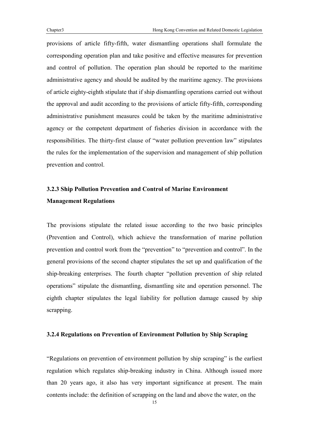provisions of article fifty-fifth, water dismantling operations shall formulate the corresponding operation plan and take positive and effective measures for prevention and control of pollution. The operation plan should be reported to the maritime administrative agency and should be audited by the maritime agency. The provisions of article eighty-eighth stipulate that if ship dismantling operations carried out without the approval and audit according to the provisions of article fifty-fifth, corresponding administrative punishment measures could be taken by the maritime administrative agency or the competent department of fisheries division in accordance with the responsibilities. The thirty-first clause of "water pollution prevention law" stipulates the rules for the implementation of the supervision and management of ship pollution prevention and control.

# **3.2.3 Ship Pollution Prevention and Control of Marine Environment Management Regulations**

The provisions stipulate the related issue according to the two basic principles (Prevention and Control), which achieve the transformation of marine pollution prevention and control work from the "prevention" to "prevention and control". In the general provisions of the second chapter stipulates the set up and qualification of the ship-breaking enterprises. The fourth chapter "pollution prevention of ship related operations" stipulate the dismantling, dismantling site and operation personnel. The eighth chapter stipulates the legal liability for pollution damage caused by ship scrapping.

#### **3.2.4 Regulations on Prevention of Environment Pollution by Ship Scraping**

"Regulations on prevention of environment pollution by ship scraping" is the earliest regulation which regulates ship-breaking industry in China. Although issued more than 20 years ago, it also has very important significance at present. The main contents include: the definition of scrapping on the land and above the water, on the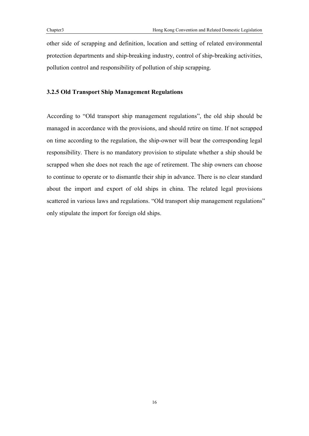other side of scrapping and definition, location and setting of related environmental protection departments and ship-breaking industry, control of ship-breaking activities, pollution control and responsibility of pollution of ship scrapping.

#### **3.2.5 Old Transport Ship Management Regulations**

According to "Old transport ship management regulations", the old ship should be managed in accordance with the provisions, and should retire on time. If not scrapped on time according to the regulation, the ship-owner will bear the corresponding legal responsibility. There is no mandatory provision to stipulate whether a ship should be scrapped when she does not reach the age of retirement. The ship owners can choose to continue to operate or to dismantle their ship in advance. There is no clear standard about the import and export of old ships in china. The related legal provisions scattered in various laws and regulations. "Old transport ship management regulations" only stipulate the import for foreign old ships.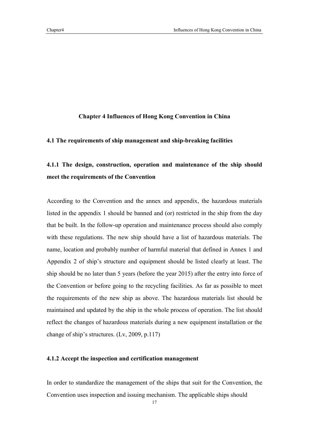#### **Chapter 4 Influences of Hong Kong Convention in China**

#### **4.1 The requirements of ship management and ship-breaking facilities**

## **4.1.1 The design, construction, operation and maintenance of the ship should meet the requirements of the Convention**

According to the Convention and the annex and appendix, the hazardous materials listed in the appendix 1 should be banned and (or) restricted in the ship from the day that be built. In the follow-up operation and maintenance process should also comply with these regulations. The new ship should have a list of hazardous materials. The name, location and probably number of harmful material that defined in Annex 1 and Appendix 2 of ship's structure and equipment should be listed clearly at least. The ship should be no later than 5 years (before the year 2015) after the entry into force of the Convention or before going to the recycling facilities. As far as possible to meet the requirements of the new ship as above. The hazardous materials list should be maintained and updated by the ship in the whole process of operation. The list should reflect the changes of hazardous materials during a new equipment installation or the change of ship's structures. (Lv, 2009, p.117)

#### **4.1.2 Accept the inspection and certification management**

In order to standardize the management of the ships that suit for the Convention, the Convention uses inspection and issuing mechanism. The applicable ships should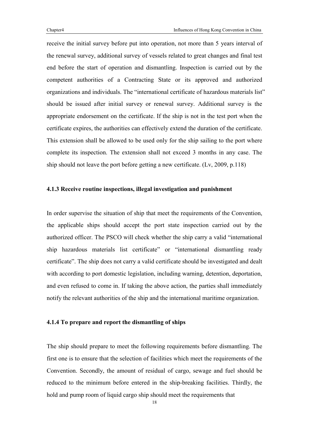receive the initial survey before put into operation, not more than 5 years interval of the renewal survey, additional survey of vessels related to great changes and final test end before the start of operation and dismantling. Inspection is carried out by the competent authorities of a Contracting State or its approved and authorized organizations and individuals. The "international certificate of hazardous materials list" should be issued after initial survey or renewal survey. Additional survey is the appropriate endorsement on the certificate. If the ship is not in the test port when the certificate expires, the authorities can effectively extend the duration of the certificate. This extension shall be allowed to be used only for the ship sailing to the port where complete its inspection. The extension shall not exceed 3 months in any case. The ship should not leave the port before getting a new certificate. (Lv, 2009, p.118)

#### **4.1.3 Receive routine inspections, illegal investigation and punishment**

In order supervise the situation of ship that meet the requirements of the Convention, the applicable ships should accept the port state inspection carried out by the authorized officer. The PSCO will check whether the ship carry a valid "international ship hazardous materials list certificate" or "international dismantling ready certificate". The ship does not carry a valid certificate should be investigated and dealt with according to port domestic legislation, including warning, detention, deportation, and even refused to come in. If taking the above action, the parties shall immediately notify the relevant authorities of the ship and the international maritime organization.

#### **4.1.4 To prepare and report the dismantling of ships**

The ship should prepare to meet the following requirements before dismantling. The first one is to ensure that the selection of facilities which meet the requirements of the Convention. Secondly, the amount of residual of cargo, sewage and fuel should be reduced to the minimum before entered in the ship-breaking facilities. Thirdly, the hold and pump room of liquid cargo ship should meet the requirements that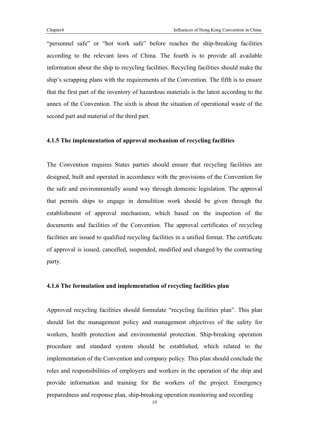"personnel safe" or "hot work safe" before reaches the ship-breaking facilities according to the relevant laws of China. The fourth is to provide all available information about the ship to recycling facilities. Recycling facilities should make the ship's scrapping plans with the requirements of the Convention. The fifth is to ensure that the first part of the inventory of hazardous materials is the latest according to the annex of the Convention. The sixth is about the situation of operational waste of the second part and material of the third part.

#### **4.1.5 The implementation of approval mechanism of recycling facilities**

The Convention requires States parties should ensure that recycling facilities are designed, built and operated in accordance with the provisions of the Convention for the safe and environmentally sound way through domestic legislation. The approval that permits ships to engage in demolition work should be given through the establishment of approval mechanism, which based on the inspection of the documents and facilities of the Convention. The approval certificates of recycling facilities are issued to qualified recycling facilities in a unified format. The certificate of approval is issued, cancelled, suspended, modified and changed by the contracting party.

#### **4.1.6 The formulation and implementation of recycling facilities plan**

Approved recycling facilities should formulate "recycling facilities plan". This plan should list the management policy and management objectives of the safety for workers, health protection and environmental protection. Ship-breaking operation procedure and standard system should be established, which related to the implementation of the Convention and company policy. This plan should conclude the roles and responsibilities of employers and workers in the operation of the ship and provide information and training for the workers of the project. Emergency preparedness and response plan, ship-breaking operation monitoring and recording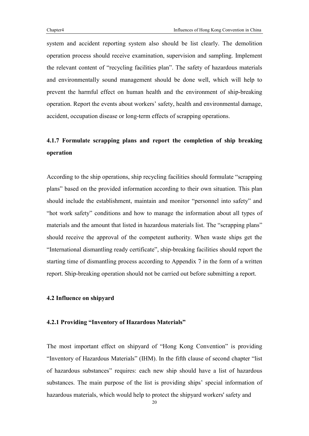system and accident reporting system also should be list clearly. The demolition operation process should receive examination, supervision and sampling. Implement the relevant content of "recycling facilities plan". The safety of hazardous materials and environmentally sound management should be done well, which will help to prevent the harmful effect on human health and the environment of ship-breaking operation. Report the events about workers' safety, health and environmental damage, accident, occupation disease or long-term effects of scrapping operations.

## **4.1.7 Formulate scrapping plans and report the completion of ship breaking operation**

According to the ship operations, ship recycling facilities should formulate "scrapping plans" based on the provided information according to their own situation. This plan should include the establishment, maintain and monitor "personnel into safety" and "hot work safety" conditions and how to manage the information about all types of materials and the amount that listed in hazardous materials list. The "scrapping plans" should receive the approval of the competent authority. When waste ships get the "International dismantling ready certificate", ship-breaking facilities should report the starting time of dismantling process according to Appendix 7 in the form of a written report. Ship-breaking operation should not be carried out before submitting a report.

#### **4.2 Influence on shipyard**

#### **4.2.1 Providing "Inventory of Hazardous Materials"**

The most important effect on shipyard of "Hong Kong Convention" is providing "Inventory of Hazardous Materials" (IHM). In the fifth clause of second chapter "list of hazardous substances" requires: each new ship should have a list of hazardous substances. The main purpose of the list is providing ships' special information of hazardous materials, which would help to protect the shipyard workers' safety and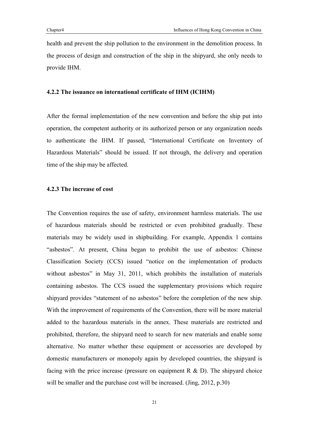health and prevent the ship pollution to the environment in the demolition process. In the process of design and construction of the ship in the shipyard, she only needs to provide IHM.

#### **4.2.2 The issuance on international certificate of IHM (ICIHM)**

After the formal implementation of the new convention and before the ship put into operation, the competent authority or its authorized person or any organization needs to authenticate the IHM. If passed, "International Certificate on Inventory of Hazardous Materials" should be issued. If not through, the delivery and operation time of the ship may be affected.

#### **4.2.3 The increase of cost**

The Convention requires the use of safety, environment harmless materials. The use of hazardous materials should be restricted or even prohibited gradually. These materials may be widely used in shipbuilding. For example, Appendix 1 contains "asbestos". At present, China began to prohibit the use of asbestos: Chinese Classification Society (CCS) issued "notice on the implementation of products without asbestos" in May 31, 2011, which prohibits the installation of materials containing asbestos. The CCS issued the supplementary provisions which require shipyard provides "statement of no asbestos" before the completion of the new ship. With the improvement of requirements of the Convention, there will be more material added to the hazardous materials in the annex. These materials are restricted and prohibited, therefore, the shipyard need to search for new materials and enable some alternative. No matter whether these equipment or accessories are developed by domestic manufacturers or monopoly again by developed countries, the shipyard is facing with the price increase (pressure on equipment R  $\&$  D). The shipyard choice will be smaller and the purchase cost will be increased. (Jing, 2012, p.30)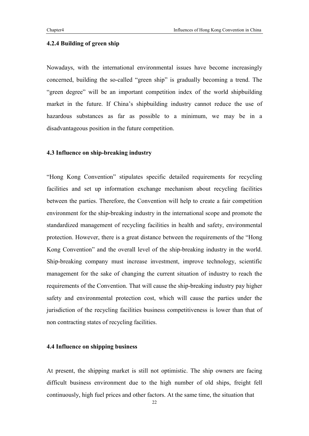#### **4.2.4 Building of green ship**

Nowadays, with the international environmental issues have become increasingly concerned, building the so-called "green ship" is gradually becoming a trend. The "green degree" will be an important competition index of the world shipbuilding market in the future. If China's shipbuilding industry cannot reduce the use of hazardous substances as far as possible to a minimum, we may be in a disadvantageous position in the future competition.

#### **4.3 Influence on ship-breaking industry**

"Hong Kong Convention" stipulates specific detailed requirements for recycling facilities and set up information exchange mechanism about recycling facilities between the parties. Therefore, the Convention will help to create a fair competition environment for the ship-breaking industry in the international scope and promote the standardized management of recycling facilities in health and safety, environmental protection. However, there is a great distance between the requirements of the "Hong Kong Convention" and the overall level of the ship-breaking industry in the world. Ship-breaking company must increase investment, improve technology, scientific management for the sake of changing the current situation of industry to reach the requirements of the Convention. That will cause the ship-breaking industry pay higher safety and environmental protection cost, which will cause the parties under the jurisdiction of the recycling facilities business competitiveness is lower than that of non contracting states of recycling facilities.

#### **4.4 Influence on shipping business**

At present, the shipping market is still not optimistic. The ship owners are facing difficult business environment due to the high number of old ships, freight fell continuously, high fuel prices and other factors. At the same time, the situation that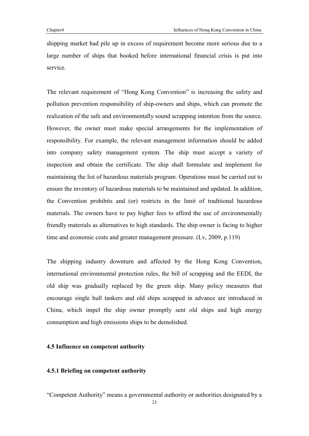shipping market had pile up in excess of requirement become more serious due to a large number of ships that booked before international financial crisis is put into service.

The relevant requirement of "Hong Kong Convention" is increasing the safety and pollution prevention responsibility of ship-owners and ships, which can promote the realization of the safe and environmentally sound scrapping intention from the source. However, the owner must make special arrangements for the implementation of responsibility. For example, the relevant management information should be added into company safety management system. The ship must accept a variety of inspection and obtain the certificate. The ship shall formulate and implement for maintaining the list of hazardous materials program. Operations must be carried out to ensure the inventory of hazardous materials to be maintained and updated. In addition, the Convention prohibits and (or) restricts in the limit of traditional hazardous materials. The owners have to pay higher fees to afford the use of environmentally friendly materials as alternatives to high standards. The ship owner is facing to higher time and economic costs and greater management pressure. (Lv, 2009, p.119)

The shipping industry downturn and affected by the Hong Kong Convention, international environmental protection rules, the bill of scrapping and the EEDI, the old ship was gradually replaced by the green ship. Many policy measures that encourage single hull tankers and old ships scrapped in advance are introduced in China, which impel the ship owner promptly sent old ships and high energy consumption and high emissions ships to be demolished.

#### **4.5 Influence on competent authority**

#### **4.5.1 Briefing on competent authority**

"Competent Authority" means a governmental authority or authorities designated by a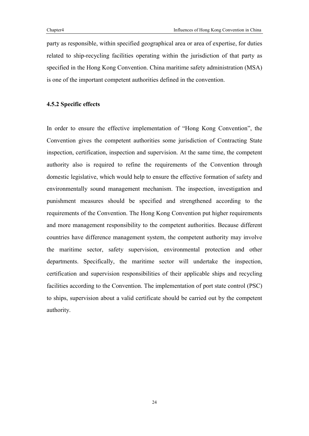party as responsible, within specified geographical area or area of expertise, for duties related to ship-recycling facilities operating within the jurisdiction of that party as specified in the Hong Kong Convention. China maritime safety administration (MSA) is one of the important competent authorities defined in the convention.

#### **4.5.2 Specific effects**

In order to ensure the effective implementation of "Hong Kong Convention", the Convention gives the competent authorities some jurisdiction of Contracting State inspection, certification, inspection and supervision. At the same time, the competent authority also is required to refine the requirements of the Convention through domestic legislative, which would help to ensure the effective formation of safety and environmentally sound management mechanism. The inspection, investigation and punishment measures should be specified and strengthened according to the requirements of the Convention. The Hong Kong Convention put higher requirements and more management responsibility to the competent authorities. Because different countries have difference management system, the competent authority may involve the maritime sector, safety supervision, environmental protection and other departments. Specifically, the maritime sector will undertake the inspection, certification and supervision responsibilities of their applicable ships and recycling facilities according to the Convention. The implementation of port state control (PSC) to ships, supervision about a valid certificate should be carried out by the competent authority.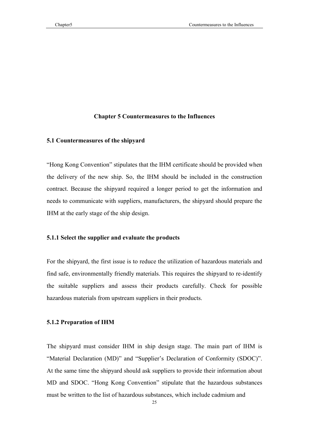#### **Chapter 5 Countermeasures to the Influences**

#### **5.1 Countermeasures of the shipyard**

"Hong Kong Convention" stipulates that the IHM certificate should be provided when the delivery of the new ship. So, the IHM should be included in the construction contract. Because the shipyard required a longer period to get the information and needs to communicate with suppliers, manufacturers, the shipyard should prepare the IHM at the early stage of the ship design.

#### **5.1.1 Select the supplier and evaluate the products**

For the shipyard, the first issue is to reduce the utilization of hazardous materials and find safe, environmentally friendly materials. This requires the shipyard to re-identify the suitable suppliers and assess their products carefully. Check for possible hazardous materials from upstream suppliers in their products.

#### **5.1.2 Preparation of IHM**

The shipyard must consider IHM in ship design stage. The main part of IHM is "Material Declaration (MD)" and "Supplier's Declaration of Conformity (SDOC)". At the same time the shipyard should ask suppliers to provide their information about MD and SDOC. "Hong Kong Convention" stipulate that the hazardous substances must be written to the list of hazardous substances, which include cadmium and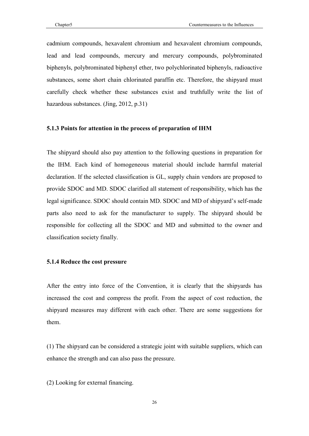cadmium compounds, hexavalent chromium and hexavalent chromium compounds, lead and lead compounds, mercury and mercury compounds, polybrominated biphenyls, polybrominated biphenyl ether, two polychlorinated biphenyls, radioactive substances, some short chain chlorinated paraffin etc. Therefore, the shipyard must carefully check whether these substances exist and truthfully write the list of hazardous substances. (Jing, 2012, p.31)

#### **5.1.3 Points for attention in the process of preparation of IHM**

The shipyard should also pay attention to the following questions in preparation for the IHM. Each kind of homogeneous material should include harmful material declaration. If the selected classification is GL, supply chain vendors are proposed to provide SDOC and MD. SDOC clarified all statement of responsibility, which has the legal significance. SDOC should contain MD. SDOC and MD of shipyard's self-made parts also need to ask for the manufacturer to supply. The shipyard should be responsible for collecting all the SDOC and MD and submitted to the owner and classification society finally.

#### **5.1.4 Reduce the cost pressure**

After the entry into force of the Convention, it is clearly that the shipyards has increased the cost and compress the profit. From the aspect of cost reduction, the shipyard measures may different with each other. There are some suggestions for them.

(1) The shipyard can be considered a strategic joint with suitable suppliers, which can enhance the strength and can also pass the pressure.

(2) Looking for external financing.

26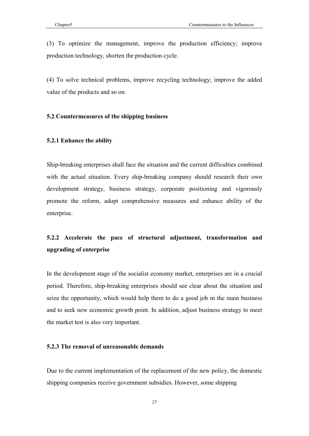(3) To optimize the management, improve the production efficiency; improve production technology, shorten the production cycle.

(4) To solve technical problems, improve recycling technology; improve the added value of the products and so on.

#### **5.2 Countermeasures of the shipping business**

#### **5.2.1 Enhance the ability**

Ship-breaking enterprises shall face the situation and the current difficulties combined with the actual situation. Every ship-breaking company should research their own development strategy, business strategy, corporate positioning and vigorously promote the reform, adopt comprehensive measures and enhance ability of the enterprise.

# **5.2.2 Accelerate the pace of structural adjustment, transformation and upgrading of enterprise**

In the development stage of the socialist economy market, enterprises are in a crucial period. Therefore, ship-breaking enterprises should see clear about the situation and seize the opportunity, which would help them to do a good job in the main business and to seek new economic growth point. In addition, adjust business strategy to meet the market test is also very important.

#### **5.2.3 The removal of unreasonable demands**

Due to the current implementation of the replacement of the new policy, the domestic shipping companies receive government subsidies. However, some shipping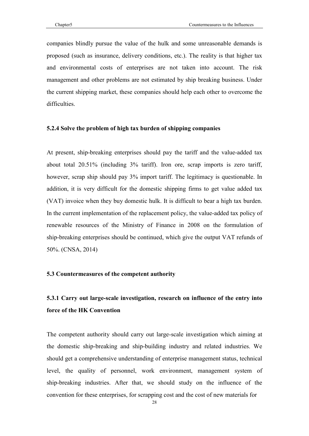companies blindly pursue the value of the hulk and some unreasonable demands is proposed (such as insurance, delivery conditions, etc.). The reality is that higher tax and environmental costs of enterprises are not taken into account. The risk management and other problems are not estimated by ship breaking business. Under the current shipping market, these companies should help each other to overcome the difficulties.

#### **5.2.4 Solve the problem of high tax burden of shipping companies**

At present, ship-breaking enterprises should pay the tariff and the value-added tax about total 20.51% (including 3% tariff). Iron ore, scrap imports is zero tariff, however, scrap ship should pay 3% import tariff. The legitimacy is questionable. In addition, it is very difficult for the domestic shipping firms to get value added tax (VAT) invoice when they buy domestic hulk. It is difficult to bear a high tax burden. In the current implementation of the replacement policy, the value-added tax policy of renewable resources of the Ministry of Finance in 2008 on the formulation of ship-breaking enterprises should be continued, which give the output VAT refunds of 50%. (CNSA, 2014)

#### **5.3 Countermeasures of the competent authority**

# **5.3.1 Carry out large-scale investigation, research on influence of the entry into force of the HK Convention**

The competent authority should carry out large-scale investigation which aiming at the domestic ship-breaking and ship-building industry and related industries. We should get a comprehensive understanding of enterprise management status, technical level, the quality of personnel, work environment, management system of ship-breaking industries. After that, we should study on the influence of the convention for these enterprises, for scrapping cost and the cost of new materials for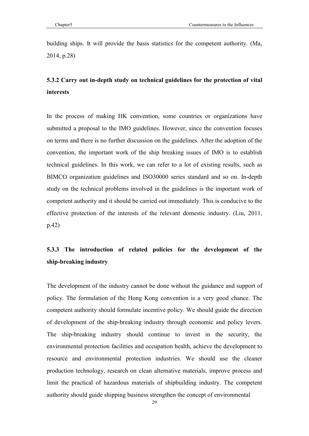building ships. It will provide the basis statistics for the competent authority. (Ma, 2014, p.28)

### **5.3.2 Carry out in-depth study on technical guidelines for the protection of vital interests**

In the process of making HK convention, some countries or organizations have submitted a proposal to the IMO guidelines. However, since the convention focuses on terms and there is no further discussion on the guidelines. After the adoption of the convention, the important work of the ship breaking issues of IMO is to establish technical guidelines. In this work, we can refer to a lot of existing results, such as BIMCO organization guidelines and ISO30000 series standard and so on. In-depth study on the technical problems involved in the guidelines is the important work of competent authority and it should be carried out immediately. This is conducive to the effective protection of the interests of the relevant domestic industry. (Liu, 2011, p.42)

# **5.3.3 The introduction of related policies for the development of the ship-breaking industry**

The development of the industry cannot be done without the guidance and support of policy. The formulation of the Hong Kong convention is a very good chance. The competent authority should formulate incentive policy. We should guide the direction of development of the ship-breaking industry through economic and policy levers. The ship-breaking industry should continue to invest in the security, the environmental protection facilities and occupation health, achieve the development to resource and environmental protection industries. We should use the cleaner production technology, research on clean alternative materials, improve process and limit the practical of hazardous materials of shipbuilding industry. The competent authority should guide shipping business strengthen the concept of environmental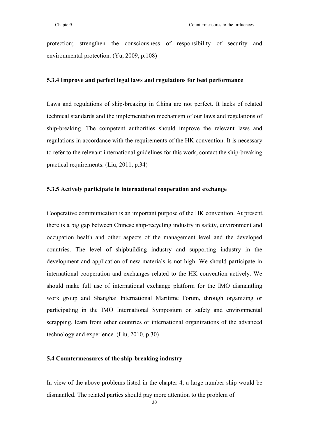protection; strengthen the consciousness of responsibility of security and environmental protection. (Yu, 2009, p.108)

#### **5.3.4 Improve and perfect legal laws and regulations for best performance**

Laws and regulations of ship-breaking in China are not perfect. It lacks of related technical standards and the implementation mechanism of our laws and regulations of ship-breaking. The competent authorities should improve the relevant laws and regulations in accordance with the requirements of the HK convention. It is necessary to refer to the relevant international guidelines for this work, contact the ship-breaking practical requirements. (Liu, 2011, p.34)

#### **5.3.5 Actively participate in international cooperation and exchange**

Cooperative communication is an important purpose of the HK convention. At present, there is a big gap between Chinese ship-recycling industry in safety, environment and occupation health and other aspects of the management level and the developed countries. The level of shipbuilding industry and supporting industry in the development and application of new materials is not high. We should participate in international cooperation and exchanges related to the HK convention actively. We should make full use of international exchange platform for the IMO dismantling work group and Shanghai International Maritime Forum, through organizing or participating in the IMO International Symposium on safety and environmental scrapping, learn from other countries or international organizations of the advanced technology and experience. (Liu, 2010, p.30)

#### **5.4 Countermeasures of the ship-breaking industry**

In view of the above problems listed in the chapter 4, a large number ship would be dismantled. The related parties should pay more attention to the problem of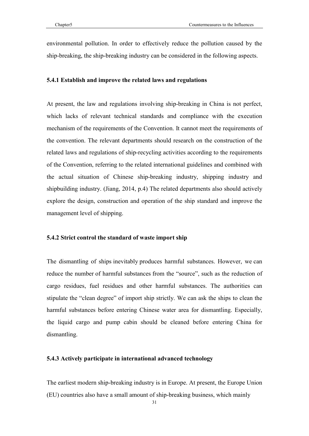environmental pollution. In order to effectively reduce the pollution caused by the ship-breaking, the ship-breaking industry can be considered in the following aspects.

#### **5.4.1 Establish and improve the related laws and regulations**

At present, the law and regulations involving ship-breaking in China is not perfect, which lacks of relevant technical standards and compliance with the execution mechanism of the requirements of the Convention. It cannot meet the requirements of the convention. The relevant departments should research on the construction of the related laws and regulations of ship-recycling activities according to the requirements of the Convention, referring to the related international guidelines and combined with the actual situation of Chinese ship-breaking industry, shipping industry and shipbuilding industry. (Jiang, 2014, p.4) The related departments also should actively explore the design, construction and operation of the ship standard and improve the management level of shipping.

#### **5.4.2 Strict control the standard of waste import ship**

The dismantling of ships inevitably produces harmful substances. However, we can reduce the number of harmful substances from the "source", such as the reduction of cargo residues, fuel residues and other harmful substances. The authorities can stipulate the "clean degree" of import ship strictly. We can ask the ships to clean the harmful substances before entering Chinese water area for dismantling. Especially, the liquid cargo and pump cabin should be cleaned before entering China for dismantling.

#### **5.4.3 Actively participate in international advanced technology**

The earliest modern ship-breaking industry is in Europe. At present, the Europe Union (EU) countries also have a small amount of ship-breaking business, which mainly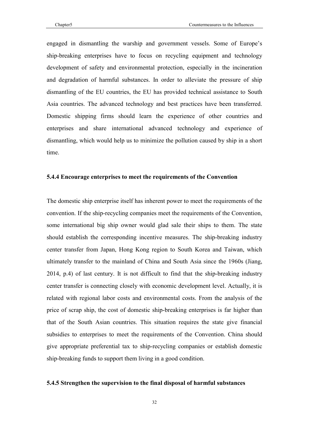engaged in dismantling the warship and government vessels. Some of Europe's ship-breaking enterprises have to focus on recycling equipment and technology development of safety and environmental protection, especially in the incineration and degradation of harmful substances. In order to alleviate the pressure of ship dismantling of the EU countries, the EU has provided technical assistance to South Asia countries. The advanced technology and best practices have been transferred. Domestic shipping firms should learn the experience of other countries and enterprises and share international advanced technology and experience of dismantling, which would help us to minimize the pollution caused by ship in a short time.

#### **5.4.4 Encourage enterprises to meet the requirements of the Convention**

The domestic ship enterprise itself has inherent power to meet the requirements of the convention. If the ship-recycling companies meet the requirements of the Convention, some international big ship owner would glad sale their ships to them. The state should establish the corresponding incentive measures. The ship-breaking industry center transfer from Japan, Hong Kong region to South Korea and Taiwan, which ultimately transfer to the mainland of China and South Asia since the 1960s (Jiang, 2014, p.4) of last century. It is not difficult to find that the ship-breaking industry center transfer is connecting closely with economic development level. Actually, it is related with regional labor costs and environmental costs. From the analysis of the price of scrap ship, the cost of domestic ship-breaking enterprises is far higher than that of the South Asian countries. This situation requires the state give financial subsidies to enterprises to meet the requirements of the Convention. China should give appropriate preferential tax to ship-recycling companies or establish domestic ship-breaking funds to support them living in a good condition.

#### **5.4.5 Strengthen the supervision to the final disposal of harmful substances**

32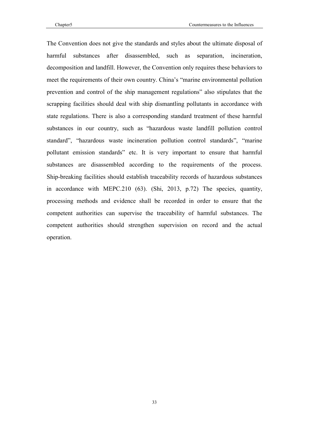The Convention does not give the standards and styles about the ultimate disposal of harmful substances after disassembled, such as separation, incineration, decomposition and landfill. However, the Convention only requires these behaviors to meet the requirements of their own country. China's "marine environmental pollution prevention and control of the ship management regulations" also stipulates that the scrapping facilities should deal with ship dismantling pollutants in accordance with state regulations. There is also a corresponding standard treatment of these harmful substances in our country, such as "hazardous waste landfill pollution control standard", "hazardous waste incineration pollution control standards", "marine pollutant emission standards" etc. It is very important to ensure that harmful substances are disassembled according to the requirements of the process. Ship-breaking facilities should establish traceability records of hazardous substances in accordance with MEPC.210 (63). (Shi, 2013, p.72) The species, quantity, processing methods and evidence shall be recorded in order to ensure that the competent authorities can supervise the traceability of harmful substances. The competent authorities should strengthen supervision on record and the actual operation.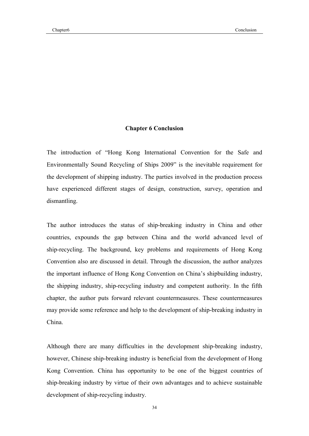#### **Chapter 6 Conclusion**

The introduction of "Hong Kong International Convention for the Safe and Environmentally Sound Recycling of Ships 2009" is the inevitable requirement for the development of shipping industry. The parties involved in the production process have experienced different stages of design, construction, survey, operation and dismantling.

The author introduces the status of ship-breaking industry in China and other countries, expounds the gap between China and the world advanced level of ship-recycling. The background, key problems and requirements of Hong Kong Convention also are discussed in detail. Through the discussion, the author analyzes the important influence of Hong Kong Convention on China's shipbuilding industry, the shipping industry, ship-recycling industry and competent authority. In the fifth chapter, the author puts forward relevant countermeasures. These countermeasures may provide some reference and help to the development of ship-breaking industry in China.

Although there are many difficulties in the development ship-breaking industry, however, Chinese ship-breaking industry is beneficial from the development of Hong Kong Convention. China has opportunity to be one of the biggest countries of ship-breaking industry by virtue of their own advantages and to achieve sustainable development of ship-recycling industry.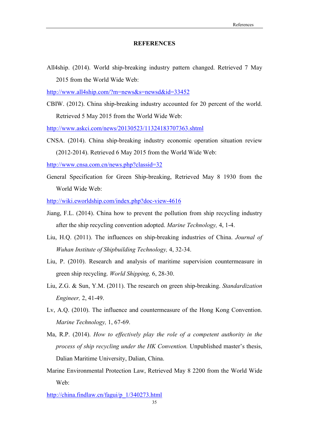#### **REFERENCES**

All4ship. (2014). World ship-breaking industry pattern changed. Retrieved 7 May 2015 from the World Wide Web:

[http://www.all4ship.com/?m=news&s=](http://www.all4ship.com/?m=news&s=newsd&id=33452)newsd&id=33452

CBIW. (2012). China ship-breaking industry accounted for 20 percent of the world. Retrieved 5 May 2015 from the World Wide Web:

[http://www.askci.com/news/20130523/11](http://www.askci.com/news/20130523/11324183707363.shtml)324183707363.shtml

CNSA. (2014). China ship-breaking industry economic operation situation review (2012-2014). Retrieved 6 May 2015 from the World Wide Web:

[http://www.cnsa.com.cn/news.p](http://www.cnsa.com.cn/news.php?classid=32)hp?classid=32

General Specification for Green Ship-breaking, Retrieved May 8 1930 from the World Wide Web:

[http://wiki.eworldship.com/index.ph](http://wiki.eworldship.com/index.php?doc-view-4616)p?doc-view-4616

- Jiang, F.L. (2014). China how to prevent the pollution from ship recycling industry after the ship recycling convention adopted. *Marine Technology,* 4, 1-4.
- Liu, H.Q. (2011). The influences on ship-breaking industries of China. *Journal of Wuhan Institute of Shipbuilding Technology,* 4, 32-34.
- Liu, P. (2010). Research and analysis of maritime supervision countermeasure in green ship recycling. *World Shipping,* 6, 28-30.
- Liu, Z.G. & Sun, Y.M. (2011). The research on green ship-breaking. *Standardization Engineer,* 2, 41-49.
- Lv, A.Q. (2010). The influence and countermeasure of the Hong Kong Convention. *Marine Technology,* 1, 67-69.
- Ma, R.P. (2014). *How to effectively play the role of a competent authority in the process of ship recycling under the HK Convention.* Unpublished master's thesis, Dalian Maritime University, Dalian, China.
- Marine Environmental Protection Law, Retrieved May 8 2200 from the World Wide Web:

[http://china.findlaw.cn/fagui/p\\_](http://china.findlaw.cn/fagui/p_1/340273.html)1/340273.html